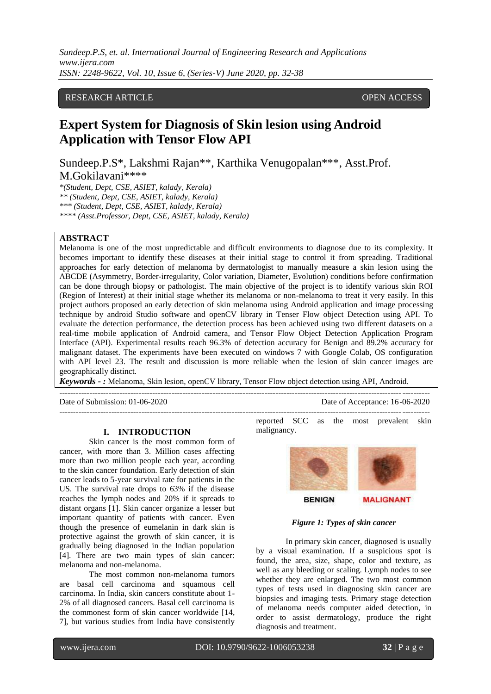*Sundeep.P.S, et. al. International Journal of Engineering Research and Applications www.ijera.com ISSN: 2248-9622, Vol. 10, Issue 6, (Series-V) June 2020, pp. 32-38*

## RESEARCH ARTICLE **CONSERVERS** OPEN ACCESS

# **Expert System for Diagnosis of Skin lesion using Android Application with Tensor Flow API**

Sundeep.P.S\*, Lakshmi Rajan\*\*, Karthika Venugopalan\*\*\*, Asst.Prof. M.Gokilavani\*\*\*\*

*\*(Student, Dept, CSE, ASIET, kalady, Kerala) \*\* (Student, Dept, CSE, ASIET, kalady, Kerala) \*\*\* (Student, Dept, CSE, ASIET, kalady, Kerala) \*\*\*\* (Asst.Professor, Dept, CSE, ASIET, kalady, Kerala)*

## **ABSTRACT**

Melanoma is one of the most unpredictable and difficult environments to diagnose due to its complexity. It becomes important to identify these diseases at their initial stage to control it from spreading. Traditional approaches for early detection of melanoma by dermatologist to manually measure a skin lesion using the ABCDE (Asymmetry, Border-irregularity, Color variation, Diameter, Evolution) conditions before confirmation can be done through biopsy or pathologist. The main objective of the project is to identify various skin ROI (Region of Interest) at their initial stage whether its melanoma or non-melanoma to treat it very easily. In this project authors proposed an early detection of skin melanoma using Android application and image processing technique by android Studio software and openCV library in Tenser Flow object Detection using API. To evaluate the detection performance, the detection process has been achieved using two different datasets on a real-time mobile application of Android camera, and Tensor Flow Object Detection Application Program Interface (API). Experimental results reach 96.3% of detection accuracy for Benign and 89.2% accuracy for malignant dataset. The experiments have been executed on windows 7 with Google Colab, OS configuration with API level 23. The result and discussion is more reliable when the lesion of skin cancer images are geographically distinct.

*Keywords* **-** *:* Melanoma, Skin lesion, openCV library, Tensor Flow object detection using API, Android.

---------------------------------------------------------------------------------------------------------------------------------------

Date of Submission: 01-06-2020 Date of Acceptance: 16-06-2020

### **I. INTRODUCTION**

Skin cancer is the most common form of cancer, with more than 3. Million cases affecting more than two million people each year, according to the skin cancer foundation. Early detection of skin cancer leads to 5-year survival rate for patients in the US. The survival rate drops to 63% if the disease reaches the lymph nodes and 20% if it spreads to distant organs [1]. Skin cancer organize a lesser but important quantity of patients with cancer. Even though the presence of eumelanin in dark skin is protective against the growth of skin cancer, it is gradually being diagnosed in the Indian population [4]. There are two main types of skin cancer: melanoma and non-melanoma.

The most common non-melanoma tumors are basal cell carcinoma and squamous cell carcinoma. In India, skin cancers constitute about 1- 2% of all diagnosed cancers. Basal cell carcinoma is the commonest form of skin cancer worldwide [14, 7], but various studies from India have consistently

---------------------------------------------------------------------------------------------------------------------------------------

reported SCC as the most prevalent skin malignancy.



#### *Figure 1: Types of skin cancer*

In primary skin cancer, diagnosed is usually by a visual examination. If a suspicious spot is found, the area, size, shape, color and texture, as well as any bleeding or scaling. Lymph nodes to see whether they are enlarged. The two most common types of tests used in diagnosing skin cancer are biopsies and imaging tests. Primary stage detection of melanoma needs computer aided detection, in order to assist dermatology, produce the right diagnosis and treatment.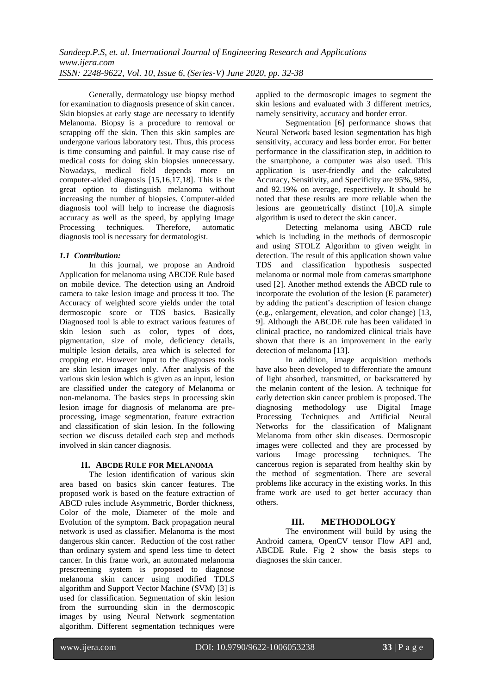Generally, dermatology use biopsy method for examination to diagnosis presence of skin cancer. Skin biopsies at early stage are necessary to identify Melanoma. Biopsy is a procedure to removal or scrapping off the skin. Then this skin samples are undergone various laboratory test. Thus, this process is time consuming and painful. It may cause rise of medical costs for doing skin biopsies unnecessary. Nowadays, medical field depends more on computer-aided diagnosis [15,16,17,18]. This is the great option to distinguish melanoma without increasing the number of biopsies. Computer-aided diagnosis tool will help to increase the diagnosis accuracy as well as the speed, by applying Image<br>Processing techniques. Therefore, automatic Processing techniques. Therefore, automatic diagnosis tool is necessary for dermatologist.

## *1.1 Contribution:*

In this journal, we propose an Android Application for melanoma using ABCDE Rule based on mobile device. The detection using an Android camera to take lesion image and process it too. The Accuracy of weighted score yields under the total dermoscopic score or TDS basics. Basically Diagnosed tool is able to extract various features of skin lesion such as color, types of dots, pigmentation, size of mole, deficiency details, multiple lesion details, area which is selected for cropping etc. However input to the diagnoses tools are skin lesion images only. After analysis of the various skin lesion which is given as an input, lesion are classified under the category of Melanoma or non-melanoma. The basics steps in processing skin lesion image for diagnosis of melanoma are preprocessing, image segmentation, feature extraction and classification of skin lesion. In the following section we discuss detailed each step and methods involved in skin cancer diagnosis.

### **II. ABCDE RULE FOR MELANOMA**

The lesion identification of various skin area based on basics skin cancer features. The proposed work is based on the feature extraction of ABCD rules include Asymmetric, Border thickness, Color of the mole, Diameter of the mole and Evolution of the symptom. Back propagation neural network is used as classifier. Melanoma is the most dangerous skin cancer. Reduction of the cost rather than ordinary system and spend less time to detect cancer. In this frame work, an automated melanoma prescreening system is proposed to diagnose melanoma skin cancer using modified TDLS algorithm and Support Vector Machine (SVM) [3] is used for classification. Segmentation of skin lesion from the surrounding skin in the dermoscopic images by using Neural Network segmentation algorithm. Different segmentation techniques were

applied to the dermoscopic images to segment the skin lesions and evaluated with 3 different metrics, namely sensitivity, accuracy and border error.

Segmentation [6] performance shows that Neural Network based lesion segmentation has high sensitivity, accuracy and less border error. For better performance in the classification step, in addition to the smartphone, a computer was also used. This application is user-friendly and the calculated Accuracy, Sensitivity, and Specificity are 95%, 98%, and 92.19% on average, respectively. It should be noted that these results are more reliable when the lesions are geometrically distinct [10].A simple algorithm is used to detect the skin cancer.

Detecting melanoma using ABCD rule which is including in the methods of dermoscopic and using STOLZ Algorithm to given weight in detection. The result of this application shown value TDS and classification hypothesis suspected melanoma or normal mole from cameras smartphone used [2]. Another method extends the ABCD rule to incorporate the evolution of the lesion (E parameter) by adding the patient's description of lesion change (e.g., enlargement, elevation, and color change) [13, 9]. Although the ABCDE rule has been validated in clinical practice, no randomized clinical trials have shown that there is an improvement in the early detection of melanoma [13].

In addition, image acquisition methods have also been developed to differentiate the amount of light absorbed, transmitted, or backscattered by the melanin content of the lesion. A technique for early detection skin cancer problem is proposed. The diagnosing methodology use Digital Image Processing Techniques and Artificial Neural Networks for the classification of Malignant Melanoma from other skin diseases. Dermoscopic images were collected and they are processed by various Image processing techniques. The cancerous region is separated from healthy skin by the method of segmentation. There are several problems like accuracy in the existing works. In this frame work are used to get better accuracy than others.

# **III. METHODOLOGY**

The environment will build by using the Android camera, OpenCV tensor Flow API and, ABCDE Rule. Fig 2 show the basis steps to diagnoses the skin cancer.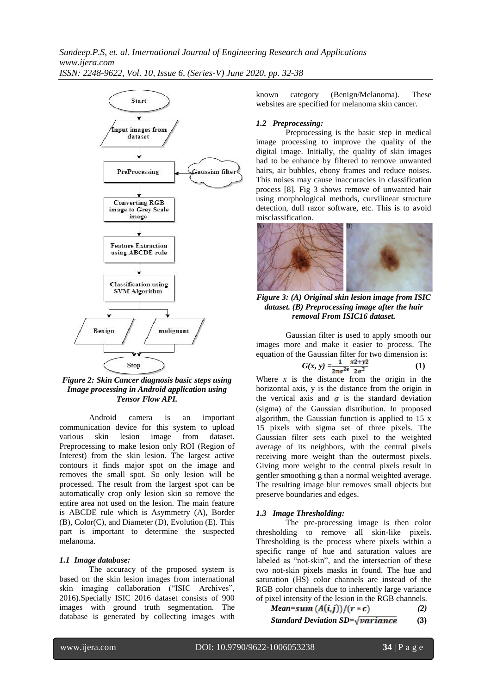

*Figure 2: Skin Cancer diagnosis basic steps using Image processing in Android application using Tensor Flow API.*

Android camera is an important communication device for this system to upload various skin lesion image from dataset. Preprocessing to make lesion only ROI (Region of Interest) from the skin lesion. The largest active contours it finds major spot on the image and removes the small spot. So only lesion will be processed. The result from the largest spot can be automatically crop only lesion skin so remove the entire area not used on the lesion. The main feature is ABCDE rule which is Asymmetry (A), Border (B), Color(C), and Diameter (D), Evolution (E). This part is important to determine the suspected melanoma.

#### *1.1 Image database:*

The accuracy of the proposed system is based on the skin lesion images from international skin imaging collaboration ("ISIC Archives", 2016).Specially ISIC 2016 dataset consists of 900 images with ground truth segmentation. The database is generated by collecting images with known category (Benign/Melanoma). These websites are specified for melanoma skin cancer.

#### *1.2 Preprocessing:*

Preprocessing is the basic step in medical image processing to improve the quality of the digital image. Initially, the quality of skin images had to be enhance by filtered to remove unwanted hairs, air bubbles, ebony frames and reduce noises. This noises may cause inaccuracies in classification process [8]. Fig 3 shows remove of unwanted hair using morphological methods, curvilinear structure detection, dull razor software, etc. This is to avoid misclassification.



*Figure 3: (A) Original skin lesion image from ISIC dataset. (B) Preprocessing image after the hair removal From ISIC16 dataset.*

Gaussian filter is used to apply smooth our images more and make it easier to process. The equation of the Gaussian filter for two dimension is:

$$
G(x, y) = \frac{1}{2\pi\sigma^2 e} \frac{x^2 + y^2}{2\sigma^2}
$$
 (1)

Where  $x$  is the distance from the origin in the horizontal axis, y is the distance from the origin in the vertical axis and  $\sigma$  is the standard deviation (sigma) of the Gaussian distribution. In proposed algorithm, the Gaussian function is applied to 15 x 15 pixels with sigma set of three pixels. The Gaussian filter sets each pixel to the weighted average of its neighbors, with the central pixels receiving more weight than the outermost pixels. Giving more weight to the central pixels result in gentler smoothing g than a normal weighted average. The resulting image blur removes small objects but preserve boundaries and edges.

### *1.3 Image Thresholding:*

The pre-processing image is then color thresholding to remove all skin-like pixels. Thresholding is the process where pixels within a specific range of hue and saturation values are labeled as "not-skin", and the intersection of these two not-skin pixels masks in found. The hue and saturation (HS) color channels are instead of the RGB color channels due to inherently large variance of pixel intensity of the lesion in the RGB channels.

Mean-sum 
$$
(A(i,j))/(r * c)
$$
 (2)

*Standard Deviation SD=* $\sqrt{variance}$  (3)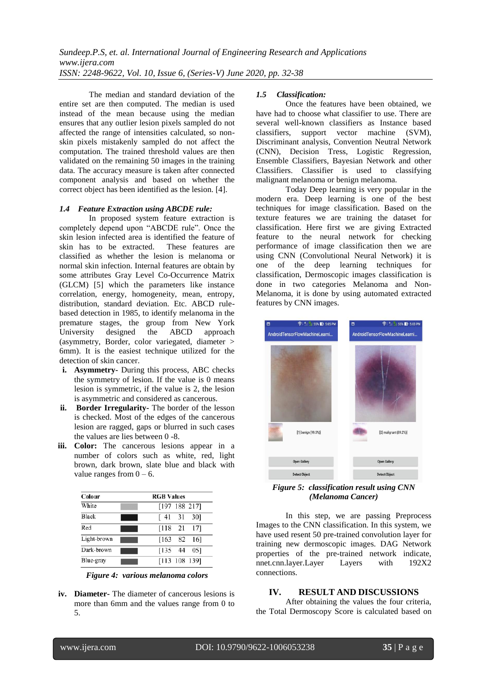The median and standard deviation of the entire set are then computed. The median is used instead of the mean because using the median ensures that any outlier lesion pixels sampled do not affected the range of intensities calculated, so nonskin pixels mistakenly sampled do not affect the computation. The trained threshold values are then validated on the remaining 50 images in the training data. The accuracy measure is taken after connected component analysis and based on whether the correct object has been identified as the lesion. [4].

#### *1.4 Feature Extraction using ABCDE rule:*

In proposed system feature extraction is completely depend upon "ABCDE rule". Once the skin lesion infected area is identified the feature of skin has to be extracted. These features are classified as whether the lesion is melanoma or normal skin infection. Internal features are obtain by some attributes Gray Level Co-Occurrence Matrix (GLCM) [5] which the parameters like instance correlation, energy, homogeneity, mean, entropy, distribution, standard deviation. Etc. ABCD rulebased detection in 1985, to identify melanoma in the premature stages, the group from New York University designed the ABCD approach (asymmetry, Border, color variegated, diameter > 6mm). It is the easiest technique utilized for the detection of skin cancer.

- **i. Asymmetry-** During this process, ABC checks the symmetry of lesion. If the value is 0 means lesion is symmetric, if the value is 2, the lesion is asymmetric and considered as cancerous.
- **ii. Border Irregularity-** The border of the lesson is checked. Most of the edges of the cancerous lesion are ragged, gaps or blurred in such cases the values are lies between 0 -8.
- **iii. Color:** The cancerous lesions appear in a number of colors such as white, red, light brown, dark brown, slate blue and black with value ranges from  $0 - 6$ .

| Colour<br><b>RGB</b> Values |                                    |
|-----------------------------|------------------------------------|
| White                       | $[197 \ 188 \ 217]$                |
| Black                       | 301<br>31<br>f 41                  |
| Red                         | [118 21<br>171                     |
| Light-brown                 | - 82<br>$\lceil 163 \rceil$<br>161 |
| Dark-brown                  | $[135 \ 44]$<br>051                |
| Blue-gray                   | [113 108 139]                      |

*Figure 4: various melanoma colors*

**iv. Diameter-** The diameter of cancerous lesions is more than 6mm and the values range from 0 to 5.

#### *1.5 Classification:*

Once the features have been obtained, we have had to choose what classifier to use. There are several well-known classifiers as Instance based classifiers, support vector machine (SVM), Discriminant analysis, Convention Neutral Network (CNN), Decision Tress, Logistic Regression, Ensemble Classifiers, Bayesian Network and other Classifiers. Classifier is used to classifying malignant melanoma or benign melanoma.

Today Deep learning is very popular in the modern era. Deep learning is one of the best techniques for image classification. Based on the texture features we are training the dataset for classification. Here first we are giving Extracted feature to the neural network for checking performance of image classification then we are using CNN (Convolutional Neural Network) it is one of the deep learning techniques for classification, Dermoscopic images classification is done in two categories Melanoma and Non-Melanoma, it is done by using automated extracted features by CNN images.



*Figure 5: classification result using CNN (Melanoma Cancer)*

In this step, we are passing Preprocess Images to the CNN classification. In this system, we have used resent 50 pre-trained convolution layer for training new dermoscopic images. DAG Network properties of the pre-trained network indicate, nnet.cnn.layer.Layer Layers with 192X2 connections.

# **IV. RESULT AND DISCUSSIONS**

After obtaining the values the four criteria, the Total Dermoscopy Score is calculated based on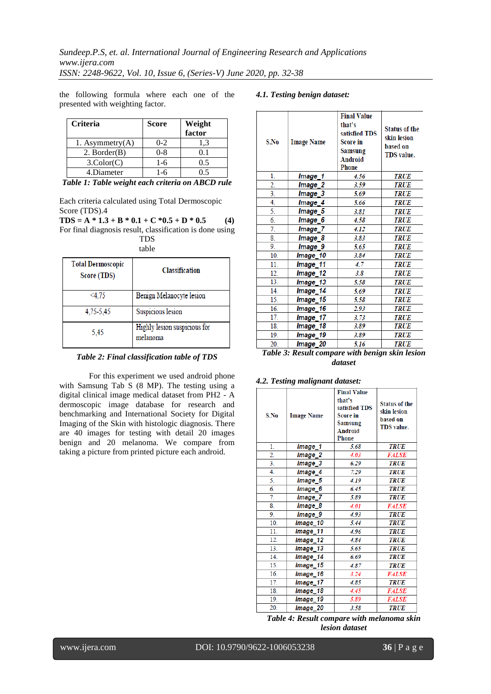the following formula where each one of the presented with weighting factor.

# *4.1. Testing benign dataset:*

| <b>Criteria</b>    | <b>Score</b> | Weight<br>factor |
|--------------------|--------------|------------------|
| 1. Asymmetry $(A)$ | $0 - 2$      | 1.3              |
| $2.$ Border $(B)$  | $0 - 8$      | 01               |
| $3$ .Color $(C)$   | 1-6          | 0.5              |
| 4.Diameter         | 1-6          |                  |

*Table 1: Table weight each criteria on ABCD rule*

Each criteria calculated using Total Dermoscopic Score (TDS).4

 $TDS = A * 1.3 + B * 0.1 + C * 0.5 + D * 0.5$  (4) For final diagnosis result, classification is done using TDS

table

| <b>Total Dermoscopic</b><br>Score (TDS) | Classification                           |
|-----------------------------------------|------------------------------------------|
| <4.75                                   | Benign Melanocyte lesion                 |
| 4,75-5,45                               | Suspicious lesion                        |
| 5,45                                    | Highly lesion suspicious for<br>melanoma |

#### *Table 2: Final classification table of TDS*

For this experiment we used android phone with Samsung Tab S (8 MP). The testing using a digital clinical image medical dataset from PH2 - A dermoscopic image database for research and benchmarking and International Society for Digital Imaging of the Skin with histologic diagnosis. There are 40 images for testing with detail 20 images benign and 20 melanoma. We compare from taking a picture from printed picture each android.

| S.No             | <b>Image Name</b>  | <b>Final Value</b><br>that's<br>satisfied TDS<br><b>Score in</b><br>Samsung<br><b>Android</b><br><b>Phone</b> | <b>Status of the</b><br>skin lesion<br>based on<br><b>TDS</b> value. |
|------------------|--------------------|---------------------------------------------------------------------------------------------------------------|----------------------------------------------------------------------|
| 1.               | Image_1            | 4.56                                                                                                          | <b>TRUE</b>                                                          |
| $\overline{2}$ . | Image_2            | 3.59                                                                                                          | <b>TRUE</b>                                                          |
| 3.               | Image <sub>3</sub> | 5.69                                                                                                          | <b>TRUE</b>                                                          |
| 4.               | Image_4            | 5.66                                                                                                          | <b>TRUE</b>                                                          |
| 5.               | Image_5            | 3.81                                                                                                          | <b>TRUE</b>                                                          |
| 6.               | Image_6            | 4.58                                                                                                          | <b>TRUE</b>                                                          |
| 7.               | Image_7            | 4.12                                                                                                          | <b>TRUE</b>                                                          |
| 8.               | Image <sub>8</sub> | 3.83                                                                                                          | <b>TRUE</b>                                                          |
| 9.               | Image_9            | 5.65                                                                                                          | <b>TRUE</b>                                                          |
| 10.              | lmage_10           | 3.84                                                                                                          | TRUE                                                                 |
| 11.              | Image_11           | 4.7                                                                                                           | <b>TRUE</b>                                                          |
| 12.              | lmage_12           | 3.8                                                                                                           | <b>TRUE</b>                                                          |
| 13.              | Image_13           | 5.58                                                                                                          | <b>TRUE</b>                                                          |
| 14.              | Image_14           | 5.69                                                                                                          | <b>TRUE</b>                                                          |
| 15.              | Image_15           | 5.58                                                                                                          | <b>TRUE</b>                                                          |
| 16.              | Image 16           | 2.93                                                                                                          | <b>TRUE</b>                                                          |
| 17.              | Image_17           | 3.73                                                                                                          | <b>TRUE</b>                                                          |
| 18.              | Image_18           | 3.89                                                                                                          | <b>TRUE</b>                                                          |
| 19.              | Image_19           | 3.89                                                                                                          | TRUE                                                                 |
| 20.              | Image 20           | 5.16                                                                                                          | <b>TRUE</b>                                                          |

*Table 3: Result compare with benign skin lesion dataset*

|  |  | 4.2. Testing malignant dataset: |  |
|--|--|---------------------------------|--|
|--|--|---------------------------------|--|

| S.No            | <b>Image Name</b> | <b>Final Value</b><br>that's<br>satisfied TDS<br><b>Score in</b><br>Samsung<br><b>Android</b><br><b>Phone</b> | <b>Status of the</b><br>skin lesion<br>based on<br><b>TDS</b> value. |
|-----------------|-------------------|---------------------------------------------------------------------------------------------------------------|----------------------------------------------------------------------|
| $\mathbf{1}$ .  | Image_1           | 5.68                                                                                                          | <b>TRUE</b>                                                          |
| 2.              | Image_2           | 4.03                                                                                                          | <b>FALSE</b>                                                         |
| 3.              | Image_3           | 6.29                                                                                                          | <b>TRUE</b>                                                          |
| 4.              | Image_4           | 7.29                                                                                                          | <b>TRUE</b>                                                          |
| 5.              | Image_5           | 4.19                                                                                                          | <b>TRUE</b>                                                          |
| 6.              | Image_6           | 6.45                                                                                                          | <b>TRUE</b>                                                          |
| 7.              | Image_7           | 5.89                                                                                                          | <b>TRUE</b>                                                          |
| 8.              | Image_8           | 4.01                                                                                                          | <b>FALSE</b>                                                         |
| 9.              | Image_9           | 4.93                                                                                                          | <b>TRUE</b>                                                          |
| 10.             | Image_10          | 5.44                                                                                                          | <b>TRUE</b>                                                          |
| 11.             | Image_11          | 4.96                                                                                                          | <b>TRUE</b>                                                          |
| 12.             | Image_12          | 4.84                                                                                                          | <b>TRUE</b>                                                          |
| 13.             | Image_13          | 5.65                                                                                                          | <b>TRUE</b>                                                          |
| 14.             | Image_14          | 6.69                                                                                                          | <b>TRUE</b>                                                          |
| 15.             | Image_15          | 4.87                                                                                                          | <b>TRUE</b>                                                          |
| $\overline{16}$ | Image_16          | 3.24                                                                                                          | <b>FALSE</b>                                                         |
| 17.             | Image_17          | 4.85                                                                                                          | <b>TRUE</b>                                                          |
| 18.             | Image_18          | 4.45                                                                                                          | <b>FALSE</b>                                                         |
| 19.             | Image_19          | 5.89                                                                                                          | <b>FALSE</b>                                                         |
| 20.             | Image_20          | 3.58                                                                                                          | <b>TRUE</b>                                                          |

*Table 4: Result compare with melanoma skin lesion dataset*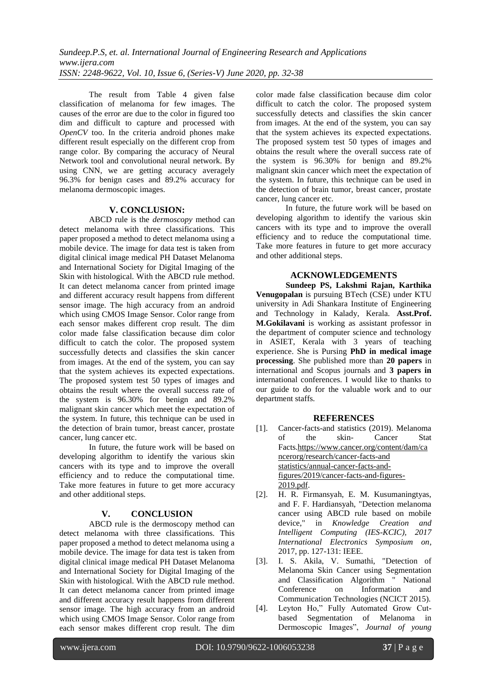The result from Table 4 given false classification of melanoma for few images. The causes of the error are due to the color in figured too dim and difficult to capture and processed with *OpenCV* too. In the criteria android phones make different result especially on the different crop from range color. By comparing the accuracy of Neural Network tool and convolutional neural network. By using CNN, we are getting accuracy averagely 96.3% for benign cases and 89.2% accuracy for melanoma dermoscopic images.

## **V. CONCLUSION:**

ABCD rule is the *dermoscopy* method can detect melanoma with three classifications. This paper proposed a method to detect melanoma using a mobile device. The image for data test is taken from digital clinical image medical PH Dataset Melanoma and International Society for Digital Imaging of the Skin with histological. With the ABCD rule method. It can detect melanoma cancer from printed image and different accuracy result happens from different sensor image. The high accuracy from an android which using CMOS Image Sensor. Color range from each sensor makes different crop result. The dim color made false classification because dim color difficult to catch the color. The proposed system successfully detects and classifies the skin cancer from images. At the end of the system, you can say that the system achieves its expected expectations. The proposed system test 50 types of images and obtains the result where the overall success rate of the system is 96.30% for benign and 89.2% malignant skin cancer which meet the expectation of the system. In future, this technique can be used in the detection of brain tumor, breast cancer, prostate cancer, lung cancer etc.

In future, the future work will be based on developing algorithm to identify the various skin cancers with its type and to improve the overall efficiency and to reduce the computational time. Take more features in future to get more accuracy and other additional steps.

## **V. CONCLUSION**

ABCD rule is the dermoscopy method can detect melanoma with three classifications. This paper proposed a method to detect melanoma using a mobile device. The image for data test is taken from digital clinical image medical PH Dataset Melanoma and International Society for Digital Imaging of the Skin with histological. With the ABCD rule method. It can detect melanoma cancer from printed image and different accuracy result happens from different sensor image. The high accuracy from an android which using CMOS Image Sensor. Color range from each sensor makes different crop result. The dim

color made false classification because dim color difficult to catch the color. The proposed system successfully detects and classifies the skin cancer from images. At the end of the system, you can say that the system achieves its expected expectations. The proposed system test 50 types of images and obtains the result where the overall success rate of the system is 96.30% for benign and 89.2% malignant skin cancer which meet the expectation of the system. In future, this technique can be used in the detection of brain tumor, breast cancer, prostate cancer, lung cancer etc.

In future, the future work will be based on developing algorithm to identify the various skin cancers with its type and to improve the overall efficiency and to reduce the computational time. Take more features in future to get more accuracy and other additional steps.

# **ACKNOWLEDGEMENTS**

**Sundeep PS, Lakshmi Rajan, Karthika Venugopalan** is pursuing BTech (CSE) under KTU university in Adi Shankara Institute of Engineering and Technology in Kalady, Kerala. **Asst.Prof. M.Gokilavani** is working as assistant professor in the department of computer science and technology in ASIET, Kerala with 3 years of teaching experience. She is Pursing **PhD in medical image processing**. She published more than **20 papers** in international and Scopus journals and **3 papers in**  international conferences. I would like to thanks to our guide to do for the valuable work and to our department staffs.

### **REFERENCES**

- [1]. Cancer-facts-and statistics (2019). Melanoma of the skin- Cancer Stat Facts[.https://www.cancer.org/content/dam/ca](https://www.cancer.org/content/dam/cancerorg/research/cancer-facts-and%20statistics/annual-cancer-facts-and-figures/2019/cancer-facts-and-figures-2019.pdf) [ncerorg/research/cancer-facts-and](https://www.cancer.org/content/dam/cancerorg/research/cancer-facts-and%20statistics/annual-cancer-facts-and-figures/2019/cancer-facts-and-figures-2019.pdf)  [statistics/annual-cancer-facts-and](https://www.cancer.org/content/dam/cancerorg/research/cancer-facts-and%20statistics/annual-cancer-facts-and-figures/2019/cancer-facts-and-figures-2019.pdf)[figures/2019/cancer-facts-and-figures-](https://www.cancer.org/content/dam/cancerorg/research/cancer-facts-and%20statistics/annual-cancer-facts-and-figures/2019/cancer-facts-and-figures-2019.pdf)[2019.pdf.](https://www.cancer.org/content/dam/cancerorg/research/cancer-facts-and%20statistics/annual-cancer-facts-and-figures/2019/cancer-facts-and-figures-2019.pdf)
- [2]. H. R. Firmansyah, E. M. Kusumaningtyas, and F. F. Hardiansyah, "Detection melanoma cancer using ABCD rule based on mobile<br>device," in Knowledge Creation and in *Knowledge Creation and Intelligent Computing (IES-KCIC), 2017 International Electronics Symposium on*, 2017, pp. 127-131: IEEE.
- [3]. I. S. Akila, V. Sumathi, "Detection of Melanoma Skin Cancer using Segmentation and Classification Algorithm " National Conference on Information and Communication Technologies (NCICT 2015).
- [4]. Leyton Ho," Fully Automated Grow Cutbased Segmentation of Melanoma in Dermoscopic Images", *Journal of young*